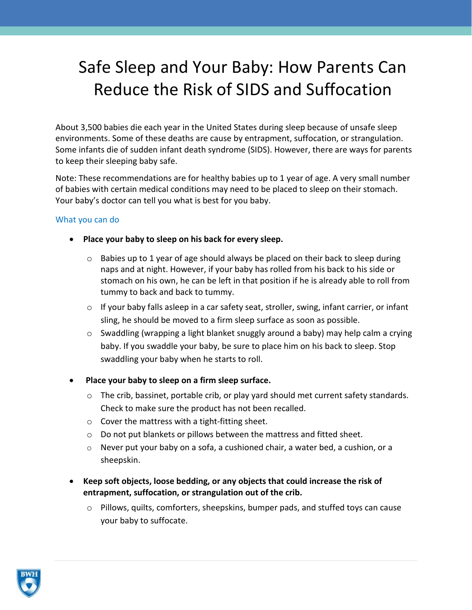## Safe Sleep and Your Baby: How Parents Can Reduce the Risk of SIDS and Suffocation

About 3,500 babies die each year in the United States during sleep because of unsafe sleep environments. Some of these deaths are cause by entrapment, suffocation, or strangulation. Some infants die of sudden infant death syndrome (SIDS). However, there are ways for parents to keep their sleeping baby safe.

Note: These recommendations are for healthy babies up to 1 year of age. A very small number of babies with certain medical conditions may need to be placed to sleep on their stomach. Your baby's doctor can tell you what is best for you baby.

## What you can do

- **Place your baby to sleep on his back for every sleep.**
	- Babies up to 1 year of age should always be placed on their back to sleep during naps and at night. However, if your baby has rolled from his back to his side or stomach on his own, he can be left in that position if he is already able to roll from tummy to back and back to tummy.
	- $\circ$  If your baby falls asleep in a car safety seat, stroller, swing, infant carrier, or infant sling, he should be moved to a firm sleep surface as soon as possible.
	- o Swaddling (wrapping a light blanket snuggly around a baby) may help calm a crying baby. If you swaddle your baby, be sure to place him on his back to sleep. Stop swaddling your baby when he starts to roll.
- **Place your baby to sleep on a firm sleep surface.**
	- o The crib, bassinet, portable crib, or play yard should met current safety standards. Check to make sure the product has not been recalled.
	- o Cover the mattress with a tight-fitting sheet.
	- o Do not put blankets or pillows between the mattress and fitted sheet.
	- $\circ$  Never put your baby on a sofa, a cushioned chair, a water bed, a cushion, or a sheepskin.
- **Keep soft objects, loose bedding, or any objects that could increase the risk of entrapment, suffocation, or strangulation out of the crib.**
	- o Pillows, quilts, comforters, sheepskins, bumper pads, and stuffed toys can cause your baby to suffocate.